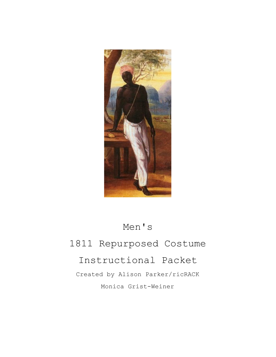

# Men's

# 1811 Repurposed Costume

# Instructional Packet

Created by Alison Parker/ricRACK Monica Grist-Weiner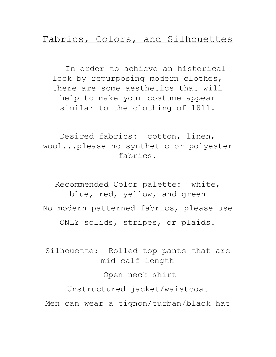### Fabrics, Colors, and Silhouettes

In order to achieve an historical look by repurposing modern clothes, there are some aesthetics that will help to make your costume appear similar to the clothing of 1811.

Desired fabrics: cotton, linen, wool...please no synthetic or polyester fabrics.

Recommended Color palette: white, blue, red, yellow, and green No modern patterned fabrics, please use ONLY solids, stripes, or plaids.

Silhouette: Rolled top pants that are mid calf length Open neck shirt Unstructured jacket/waistcoat

Men can wear a tignon/turban/black hat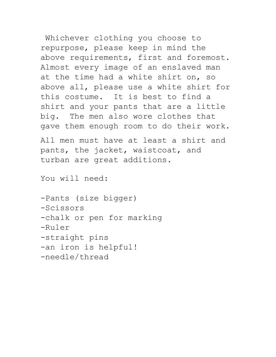Whichever clothing you choose to repurpose, please keep in mind the above requirements, first and foremost. Almost every image of an enslaved man at the time had a white shirt on, so above all, please use a white shirt for this costume. It is best to find a shirt and your pants that are a little big. The men also wore clothes that gave them enough room to do their work.

All men must have at least a shirt and pants, the jacket, waistcoat, and turban are great additions.

You will need:

-Pants (size bigger) -Scissors -chalk or pen for marking -Ruler -straight pins -an iron is helpful! -needle/thread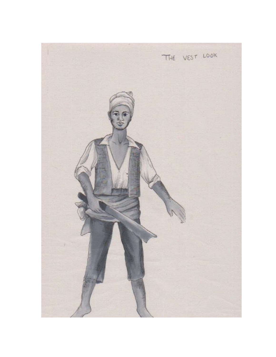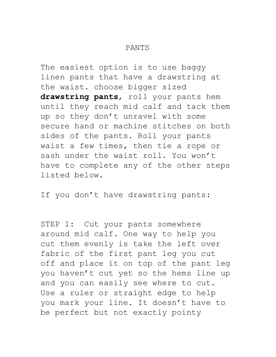#### PANTS

The easiest option is to use baggy linen pants that have a drawstring at the waist. choose bigger sized **drawstring pants**, roll your pants hem until they reach mid calf and tack them up so they don't unravel with some secure hand or machine stitches on both sides of the pants. Roll your pants waist a few times, then tie a rope or sash under the waist roll. You won't have to complete any of the other steps listed below.

If you don't have drawstring pants:

STEP 1: Cut your pants somewhere around mid calf. One way to help you cut them evenly is take the left over fabric of the first pant leg you cut off and place it on top of the pant leg you haven't cut yet so the hems line up and you can easily see where to cut. Use a ruler or straight edge to help you mark your line. It doesn't have to be perfect but not exactly pointy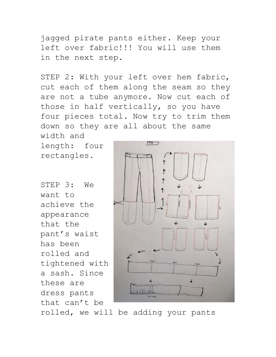jagged pirate pants either. Keep your left over fabric!!! You will use them in the next step.

STEP 2: With your left over hem fabric, cut each of them along the seam so they are not a tube anymore. Now cut each of those in half vertically, so you have four pieces total. Now try to trim them down so they are all about the same

width and length: four rectangles.

STEP 3: We want to achieve the appearance that the pant's waist has been rolled and tightened with a sash. Since these are dress pants that can't be



rolled, we will be adding your pants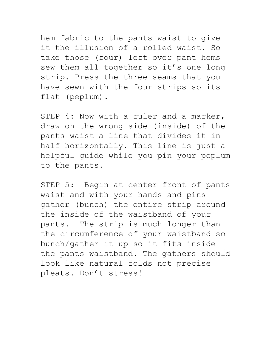hem fabric to the pants waist to give it the illusion of a rolled waist. So take those (four) left over pant hems sew them all together so it's one long strip. Press the three seams that you have sewn with the four strips so its flat (peplum).

STEP 4: Now with a ruler and a marker, draw on the wrong side (inside) of the pants waist a line that divides it in half horizontally. This line is just a helpful guide while you pin your peplum to the pants.

STEP 5: Begin at center front of pants waist and with your hands and pins gather (bunch) the entire strip around the inside of the waistband of your pants. The strip is much longer than the circumference of your waistband so bunch/gather it up so it fits inside the pants waistband. The gathers should look like natural folds not precise pleats. Don't stress!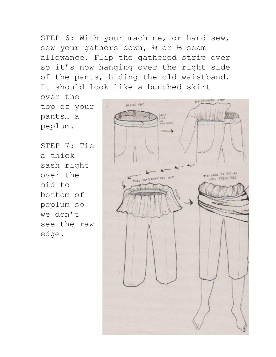STEP 6: With your machine, or hand sew, sew your gathers down, 4 or ½ seam allowance. Flip the gathered strip over so it's now hanging over the right side of the pants, hiding the old waistband. It should look like a bunched skirt

over the top of your pants… a peplum.

STEP 7: Tie a thick sash right over the mid to bottom of peplum so we don't see the raw edge.

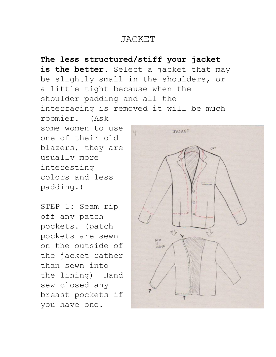## JACKET

**The less structured/stiff your jacket** is the better. Select a jacket that may be slightly small in the shoulders, or a little tight because when the shoulder padding and all the interfacing is removed it will be much roomier. (Ask some women to use **JALKET** one of their old blazers, they are usually more interesting colors and less padding.)

STEP 1: Seam rip off any patch pockets. (patch pockets are sewn on the outside of the jacket rather than sewn into the lining) Hand sew closed any breast pockets if you have one.

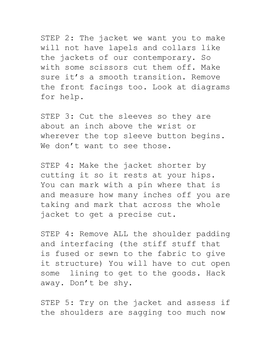STEP 2: The jacket we want you to make will not have lapels and collars like the jackets of our contemporary. So with some scissors cut them off. Make sure it's a smooth transition. Remove the front facings too. Look at diagrams for help.

STEP 3: Cut the sleeves so they are about an inch above the wrist or wherever the top sleeve button begins. We don't want to see those.

STEP 4: Make the jacket shorter by cutting it so it rests at your hips. You can mark with a pin where that is and measure how many inches off you are taking and mark that across the whole jacket to get a precise cut.

STEP 4: Remove ALL the shoulder padding and interfacing (the stiff stuff that is fused or sewn to the fabric to give it structure) You will have to cut open some lining to get to the goods. Hack away. Don't be shy.

STEP 5: Try on the jacket and assess if the shoulders are sagging too much now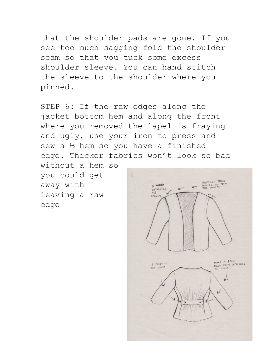that the shoulder pads are gone. If you see too much sagging fold the shoulder seam so that you tuck some excess shoulder sleeve. You can hand stitch the sleeve to the shoulder where you pinned.

STEP 6: If the raw edges along the jacket bottom hem and along the front where you removed the lapel is fraying and ugly, use your iron to press and sew a ½ hem so you have a finished edge. Thicker fabrics won't look so bad

without a hem so you could get away with leaving a raw edge

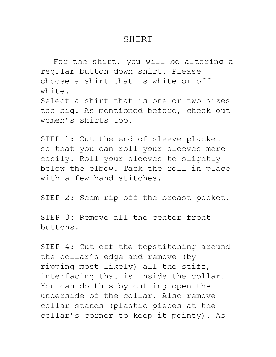### SHIRT

For the shirt, you will be altering a regular button down shirt. Please choose a shirt that is white or off white. Select a shirt that is one or two sizes too big. As mentioned before, check out women's shirts too.

STEP 1: Cut the end of sleeve placket so that you can roll your sleeves more easily. Roll your sleeves to slightly below the elbow. Tack the roll in place with a few hand stitches.

STEP 2: Seam rip off the breast pocket.

STEP 3: Remove all the center front buttons.

STEP 4: Cut off the topstitching around the collar's edge and remove (by ripping most likely) all the stiff, interfacing that is inside the collar. You can do this by cutting open the underside of the collar. Also remove collar stands (plastic pieces at the collar's corner to keep it pointy). As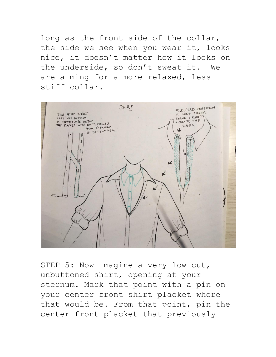long as the front side of the collar, the side we see when you wear it, looks nice, it doesn't matter how it looks on the underside, so don't sweat it. We are aiming for a more relaxed, less stiff collar.



STEP 5: Now imagine a very low-cut, unbuttoned shirt, opening at your sternum. Mark that point with a pin on your center front shirt placket where that would be. From that point, pin the center front placket that previously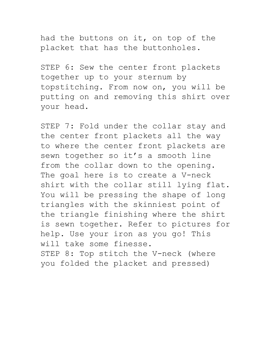had the buttons on it, on top of the placket that has the buttonholes.

STEP 6: Sew the center front plackets together up to your sternum by topstitching. From now on, you will be putting on and removing this shirt over your head.

STEP 7: Fold under the collar stay and the center front plackets all the way to where the center front plackets are sewn together so it's a smooth line from the collar down to the opening. The goal here is to create a V-neck shirt with the collar still lying flat. You will be pressing the shape of long triangles with the skinniest point of the triangle finishing where the shirt is sewn together. Refer to pictures for help. Use your iron as you go! This will take some finesse.

STEP 8: Top stitch the V-neck (where you folded the placket and pressed)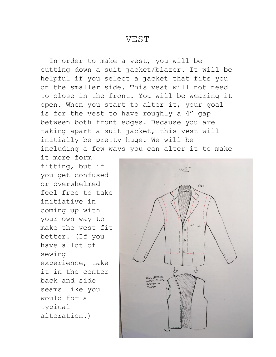### VEST

In order to make a vest, you will be cutting down a suit jacket/blazer. It will be helpful if you select a jacket that fits you on the smaller side. This vest will not need to close in the front. You will be wearing it open. When you start to alter it, your goal is for the vest to have roughly a 4" gap between both front edges. Because you are taking apart a suit jacket, this vest will initially be pretty huge. We will be including a few ways you can alter it to make

it more form fitting, but if you get confused or overwhelmed feel free to take initiative in coming up with your own way to make the vest fit better. (If you have a lot of sewing experience, take it in the center back and side seams like you would for a typical alteration.)

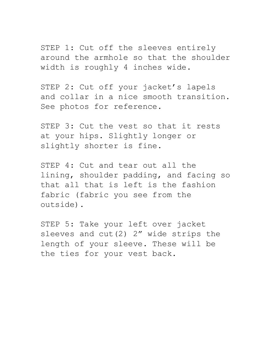STEP 1: Cut off the sleeves entirely around the armhole so that the shoulder width is roughly 4 inches wide.

STEP 2: Cut off your jacket's lapels and collar in a nice smooth transition. See photos for reference.

STEP 3: Cut the vest so that it rests at your hips. Slightly longer or slightly shorter is fine.

STEP 4: Cut and tear out all the lining, shoulder padding, and facing so that all that is left is the fashion fabric (fabric you see from the outside).

STEP 5: Take your left over jacket sleeves and cut(2) 2" wide strips the length of your sleeve. These will be the ties for your vest back.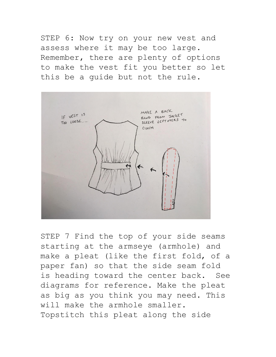STEP 6: Now try on your new vest and assess where it may be too large. Remember, there are plenty of options to make the vest fit you better so let this be a guide but not the rule.



STEP 7 Find the top of your side seams starting at the armseye (armhole) and make a pleat (like the first fold, of a paper fan) so that the side seam fold is heading toward the center back. See diagrams for reference. Make the pleat as big as you think you may need. This will make the armhole smaller. Topstitch this pleat along the side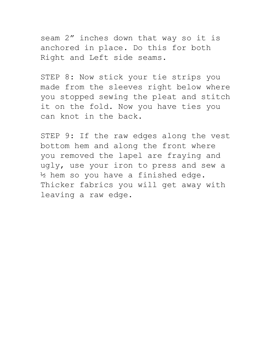seam 2" inches down that way so it is anchored in place. Do this for both Right and Left side seams.

STEP 8: Now stick your tie strips you made from the sleeves right below where you stopped sewing the pleat and stitch it on the fold. Now you have ties you can knot in the back.

STEP 9: If the raw edges along the vest bottom hem and along the front where you removed the lapel are fraying and ugly, use your iron to press and sew a ½ hem so you have a finished edge. Thicker fabrics you will get away with leaving a raw edge.